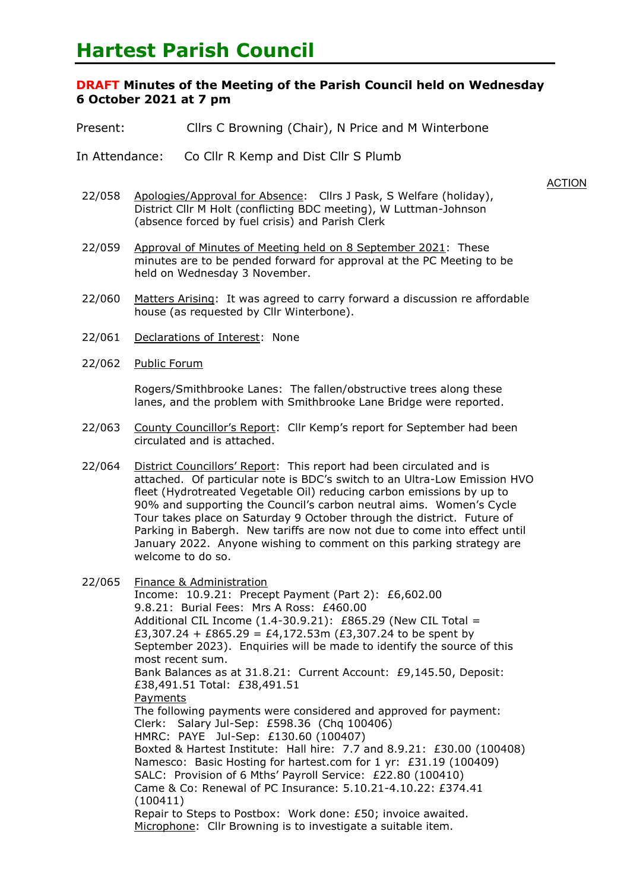# **Hartest Parish Council**

## **DRAFT Minutes of the Meeting of the Parish Council held on Wednesday 6 October 2021 at 7 pm**

- Present: Cllrs C Browning (Chair), N Price and M Winterbone
- In Attendance: Co Cllr R Kemp and Dist Cllr S Plumb
	- **ACTION**
- 22/058 Apologies/Approval for Absence: Cllrs J Pask, S Welfare (holiday), District Cllr M Holt (conflicting BDC meeting), W Luttman-Johnson (absence forced by fuel crisis) and Parish Clerk
- 22/059 Approval of Minutes of Meeting held on 8 September 2021: These minutes are to be pended forward for approval at the PC Meeting to be held on Wednesday 3 November.
- 22/060 Matters Arising: It was agreed to carry forward a discussion re affordable house (as requested by Cllr Winterbone).
- 22/061 Declarations of Interest: None
- 22/062 Public Forum

Rogers/Smithbrooke Lanes: The fallen/obstructive trees along these lanes, and the problem with Smithbrooke Lane Bridge were reported.

- 22/063 County Councillor's Report: Cllr Kemp's report for September had been circulated and is attached.
- 22/064 District Councillors' Report: This report had been circulated and is attached. Of particular note is BDC's switch to an Ultra-Low Emission HVO fleet (Hydrotreated Vegetable Oil) reducing carbon emissions by up to 90% and supporting the Council's carbon neutral aims. Women's Cycle Tour takes place on Saturday 9 October through the district. Future of Parking in Babergh. New tariffs are now not due to come into effect until January 2022. Anyone wishing to comment on this parking strategy are welcome to do so.
- 22/065 Finance & Administration

Income: 10.9.21: Precept Payment (Part 2): £6,602.00 9.8.21: Burial Fees: Mrs A Ross: £460.00 Additional CIL Income  $(1.4-30.9.21)$ : £865.29 (New CIL Total = £3,307.24 + £865.29 = £4,172.53m (£3,307.24 to be spent by September 2023). Enquiries will be made to identify the source of this most recent sum. Bank Balances as at 31.8.21: Current Account: £9,145.50, Deposit: £38,491.51 Total: £38,491.51 **Payments** The following payments were considered and approved for payment: Clerk: Salary Jul-Sep: £598.36 (Chq 100406) HMRC: PAYE Jul-Sep: £130.60 (100407) Boxted & Hartest Institute: Hall hire: 7.7 and 8.9.21: £30.00 (100408) Namesco: Basic Hosting for hartest.com for 1 yr: £31.19 (100409) SALC: Provision of 6 Mths' Payroll Service: £22.80 (100410) Came & Co: Renewal of PC Insurance: 5.10.21-4.10.22: £374.41 (100411) Repair to Steps to Postbox: Work done: £50; invoice awaited. Microphone: Cllr Browning is to investigate a suitable item.